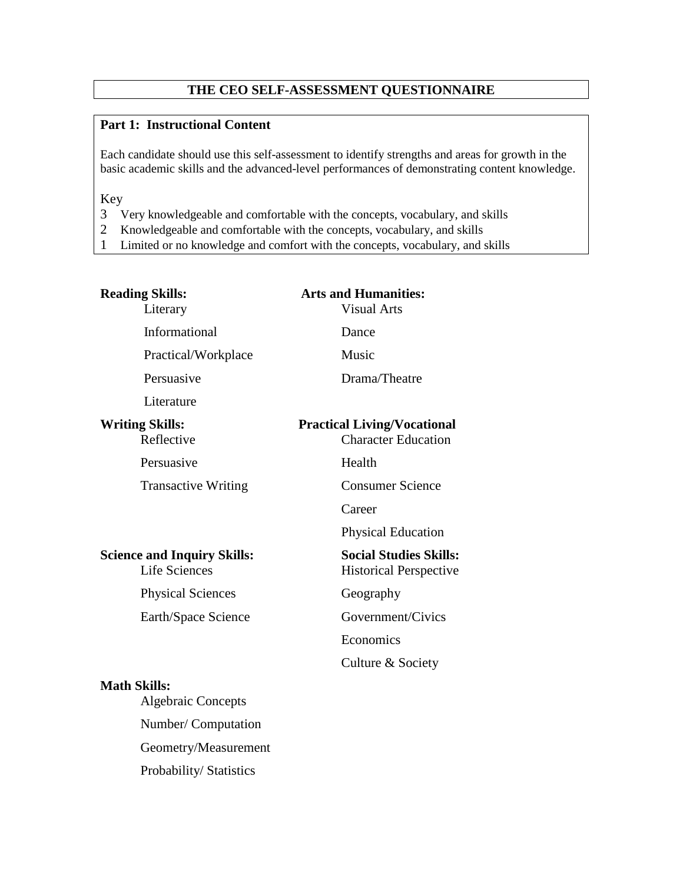# **THE CEO SELF-ASSESSMENT QUESTIONNAIRE**

# **Part 1: Instructional Content**

Each candidate should use this self-assessment to identify strengths and areas for growth in the basic academic skills and the advanced-level performances of demonstrating content knowledge.

Key

- 3 Very knowledgeable and comfortable with the concepts, vocabulary, and skills
- 2 Knowledgeable and comfortable with the concepts, vocabulary, and skills
- 1 Limited or no knowledge and comfort with the concepts, vocabulary, and skills

| <b>Reading Skills:</b><br>Literary                         | <b>Arts and Humanities:</b><br><b>Visual Arts</b>                |
|------------------------------------------------------------|------------------------------------------------------------------|
| Informational                                              | Dance                                                            |
| Practical/Workplace                                        | Music                                                            |
| Persuasive                                                 | Drama/Theatre                                                    |
| Literature                                                 |                                                                  |
| <b>Writing Skills:</b><br>Reflective                       | <b>Practical Living/Vocational</b><br><b>Character Education</b> |
| Persuasive                                                 | Health                                                           |
| <b>Transactive Writing</b>                                 | <b>Consumer Science</b>                                          |
|                                                            | Career                                                           |
|                                                            | <b>Physical Education</b>                                        |
| <b>Science and Inquiry Skills:</b><br><b>Life Sciences</b> | <b>Social Studies Skills:</b><br><b>Historical Perspective</b>   |
| <b>Physical Sciences</b>                                   | Geography                                                        |
| Earth/Space Science                                        | Government/Civics                                                |
|                                                            | Economics                                                        |
|                                                            | Culture & Society                                                |
| <b>Math Skills:</b><br><b>Algebraic Concepts</b>           |                                                                  |
| Number/ Computation                                        |                                                                  |
| Geometry/Measurement                                       |                                                                  |
| Probability/Statistics                                     |                                                                  |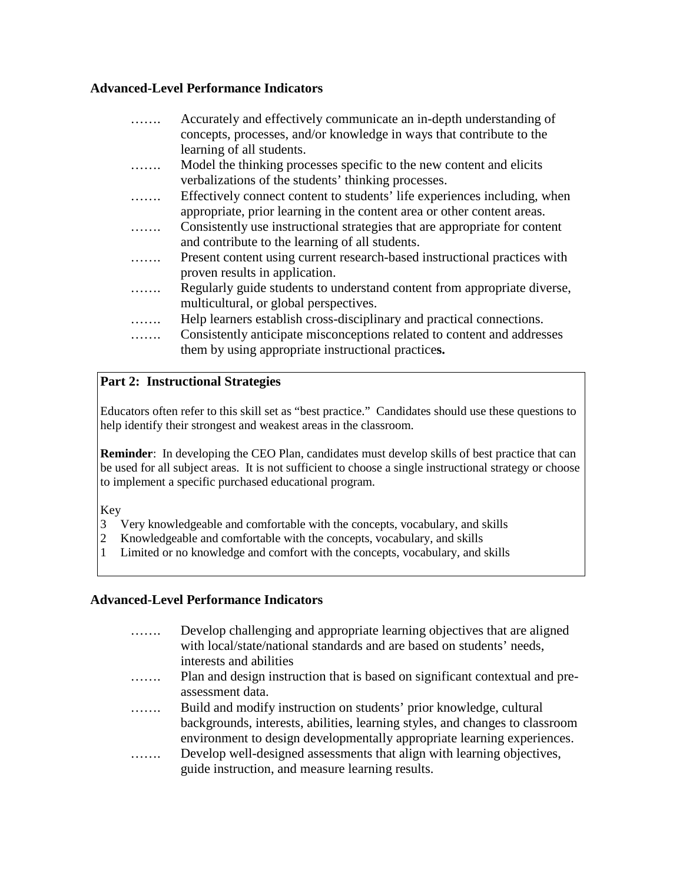# **Advanced-Level Performance Indicators**

|   | Accurately and effectively communicate an in-depth understanding of        |
|---|----------------------------------------------------------------------------|
|   | concepts, processes, and/or knowledge in ways that contribute to the       |
|   | learning of all students.                                                  |
| . | Model the thinking processes specific to the new content and elicits       |
|   | verbalizations of the students' thinking processes.                        |
| . | Effectively connect content to students' life experiences including, when  |
|   | appropriate, prior learning in the content area or other content areas.    |
| . | Consistently use instructional strategies that are appropriate for content |
|   | and contribute to the learning of all students.                            |
|   | Present content using current research-based instructional practices with  |
|   | proven results in application.                                             |
|   | Regularly guide students to understand content from appropriate diverse,   |
|   | multicultural, or global perspectives.                                     |
|   | Help learners establish cross-disciplinary and practical connections.      |
|   | Consistently anticipate misconceptions related to content and addresses    |
|   | them by using appropriate instructional practices.                         |

# **Part 2: Instructional Strategies**

Educators often refer to this skill set as "best practice." Candidates should use these questions to help identify their strongest and weakest areas in the classroom.

**Reminder**: In developing the CEO Plan, candidates must develop skills of best practice that can be used for all subject areas. It is not sufficient to choose a single instructional strategy or choose to implement a specific purchased educational program.

Key

- 3 Very knowledgeable and comfortable with the concepts, vocabulary, and skills
- 2 Knowledgeable and comfortable with the concepts, vocabulary, and skills
- 1 Limited or no knowledge and comfort with the concepts, vocabulary, and skills

# **Advanced-Level Performance Indicators**

| . | Develop challenging and appropriate learning objectives that are aligned     |
|---|------------------------------------------------------------------------------|
|   | with local/state/national standards and are based on students' needs,        |
|   | interests and abilities                                                      |
| . | Plan and design instruction that is based on significant contextual and pre- |
|   | assessment data.                                                             |
| . | Build and modify instruction on students' prior knowledge, cultural          |
|   | backgrounds, interests, abilities, learning styles, and changes to classroom |
|   | environment to design developmentally appropriate learning experiences.      |
| . | Develop well-designed assessments that align with learning objectives,       |
|   | guide instruction, and measure learning results.                             |
|   |                                                                              |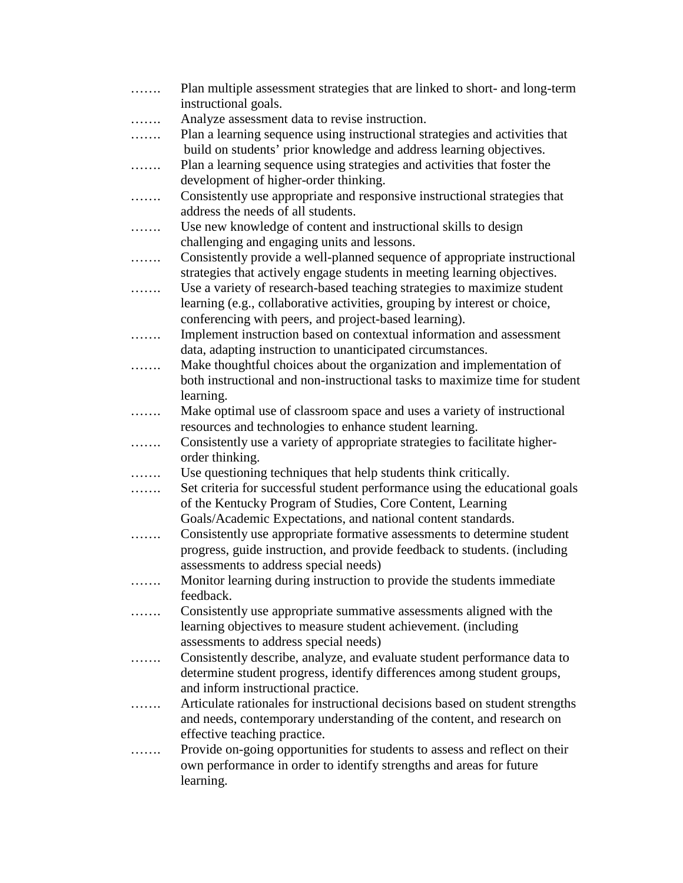| . | Plan multiple assessment strategies that are linked to short- and long-term<br>instructional goals. |
|---|-----------------------------------------------------------------------------------------------------|
| . | Analyze assessment data to revise instruction.                                                      |
| . | Plan a learning sequence using instructional strategies and activities that                         |
|   | build on students' prior knowledge and address learning objectives.                                 |
| . | Plan a learning sequence using strategies and activities that foster the                            |
|   | development of higher-order thinking.                                                               |
|   | Consistently use appropriate and responsive instructional strategies that                           |
| . | address the needs of all students.                                                                  |
|   |                                                                                                     |
| . | Use new knowledge of content and instructional skills to design                                     |
|   | challenging and engaging units and lessons.                                                         |
| . | Consistently provide a well-planned sequence of appropriate instructional                           |
|   | strategies that actively engage students in meeting learning objectives.                            |
| . | Use a variety of research-based teaching strategies to maximize student                             |
|   | learning (e.g., collaborative activities, grouping by interest or choice,                           |
|   | conferencing with peers, and project-based learning).                                               |
| . | Implement instruction based on contextual information and assessment                                |
|   | data, adapting instruction to unanticipated circumstances.                                          |
| . | Make thoughtful choices about the organization and implementation of                                |
|   | both instructional and non-instructional tasks to maximize time for student                         |
|   | learning.                                                                                           |
| . | Make optimal use of classroom space and uses a variety of instructional                             |
|   | resources and technologies to enhance student learning.                                             |
| . | Consistently use a variety of appropriate strategies to facilitate higher-                          |
|   | order thinking.                                                                                     |
| . | Use questioning techniques that help students think critically.                                     |
| . | Set criteria for successful student performance using the educational goals                         |
|   | of the Kentucky Program of Studies, Core Content, Learning                                          |
|   | Goals/Academic Expectations, and national content standards.                                        |
|   | Consistently use appropriate formative assessments to determine student                             |
|   | progress, guide instruction, and provide feedback to students. (including                           |
|   | assessments to address special needs)                                                               |
|   | Monitor learning during instruction to provide the students immediate                               |
|   | feedback.                                                                                           |
|   | Consistently use appropriate summative assessments aligned with the                                 |
|   | learning objectives to measure student achievement. (including                                      |
|   | assessments to address special needs)                                                               |
| . | Consistently describe, analyze, and evaluate student performance data to                            |
|   | determine student progress, identify differences among student groups,                              |
|   | and inform instructional practice.                                                                  |
|   | Articulate rationales for instructional decisions based on student strengths                        |
|   | and needs, contemporary understanding of the content, and research on                               |
|   | effective teaching practice.                                                                        |
| . | Provide on-going opportunities for students to assess and reflect on their                          |
|   | own performance in order to identify strengths and areas for future                                 |
|   | learning.                                                                                           |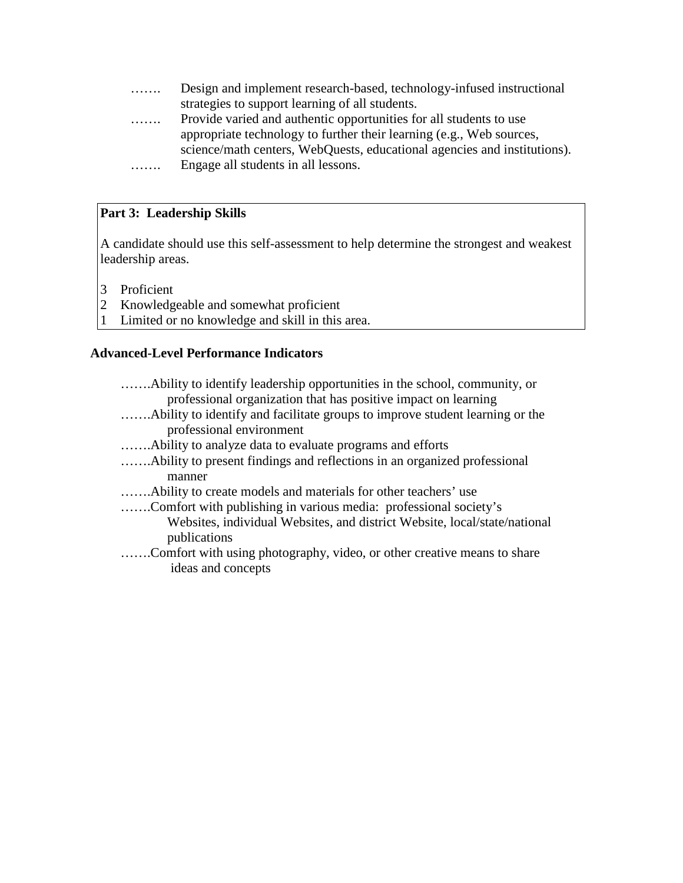- ……. Design and implement research-based, technology-infused instructional strategies to support learning of all students.
- ……. Provide varied and authentic opportunities for all students to use appropriate technology to further their learning (e.g., Web sources, science/math centers, WebQuests, educational agencies and institutions).
- ……. Engage all students in all lessons.

# **Part 3: Leadership Skills**

A candidate should use this self-assessment to help determine the strongest and weakest leadership areas.

- 3 Proficient
- 2 Knowledgeable and somewhat proficient
- 1 Limited or no knowledge and skill in this area.

## **Advanced-Level Performance Indicators**

| professional organization that has positive impact on learning                |  |
|-------------------------------------------------------------------------------|--|
| A bility to identify and facilitate groups to improve student learning or the |  |
| professional environment                                                      |  |
|                                                                               |  |
| A bility to present findings and reflections in an organized professional     |  |
| manner                                                                        |  |
|                                                                               |  |
| Comfort with publishing in various media: professional society's              |  |
| Websites, individual Websites, and district Website, local/state/national     |  |
| publications                                                                  |  |
| Comfort with using photography, video, or other creative means to share       |  |
| ideas and concepts                                                            |  |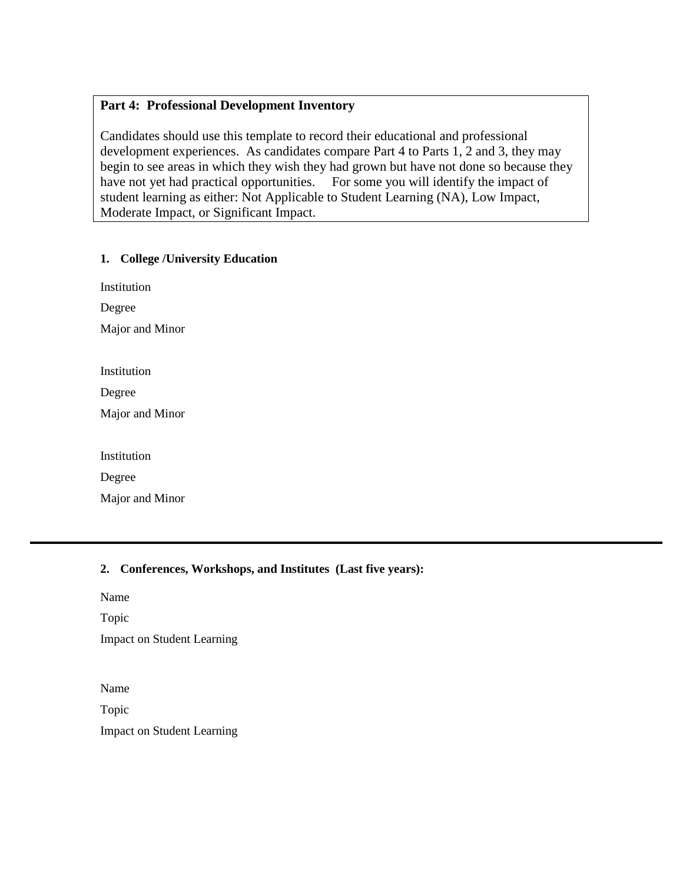## **Part 4: Professional Development Inventory**

Candidates should use this template to record their educational and professional development experiences. As candidates compare Part 4 to Parts 1, 2 and 3, they may begin to see areas in which they wish they had grown but have not done so because they have not yet had practical opportunities. For some you will identify the impact of student learning as either: Not Applicable to Student Learning (NA), Low Impact, Moderate Impact, or Significant Impact.

### **1. College /University Education**

| Institution |
|-------------|
| Degree      |

Major and Minor

Degree

Major and Minor

Institution

Degree

Major and Minor

### **2. Conferences, Workshops, and Institutes (Last five years):**

Name

Topic Impact on Student Learning

Name

Topic Impact on Student Learning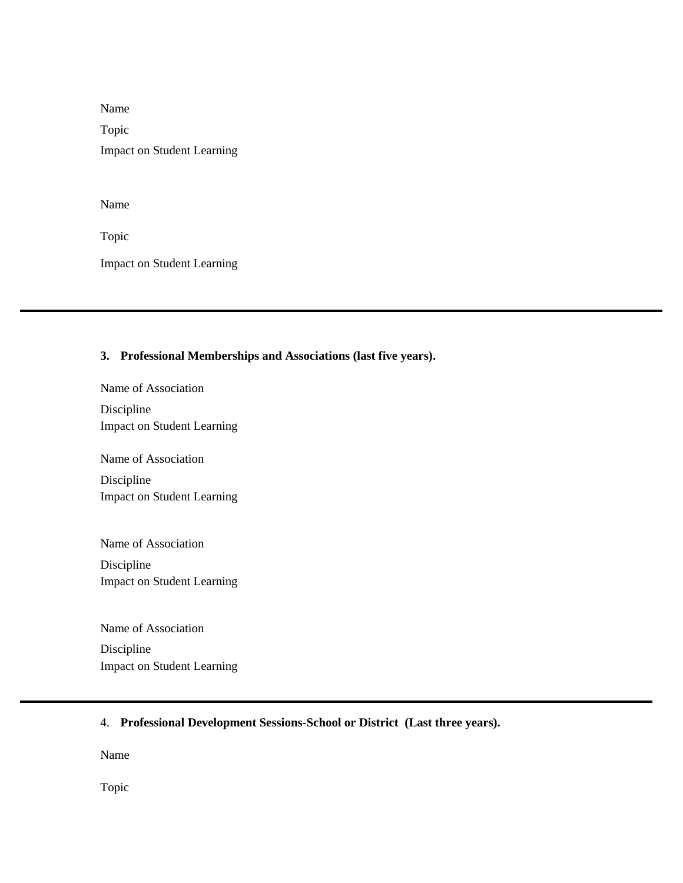Name Topic Impact on Student Learning

Name

Topic

֡֬

Impact on Student Learning

#### **3. Professional Memberships and Associations (last five years).**

Name of Association Discipline Impact on Student Learning

Name of Association

Discipline Impact on Student Learning

Name of Association Discipline Impact on Student Learning

Name of Association Discipline Impact on Student Learning

4. **Professional Development Sessions-School or District (Last three years).** 

Name

Topic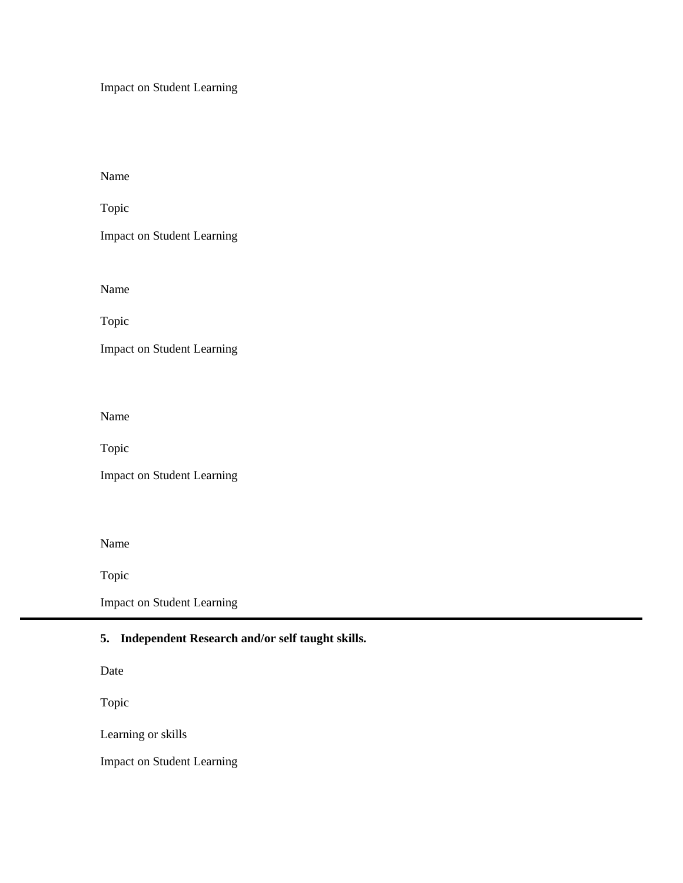Impact on Student Learning

Name

Topic

Impact on Student Learning

Name

Topic

Impact on Student Learning

Name

Topic

Impact on Student Learning

Name

Topic

Impact on Student Learning

## **5. Independent Research and/or self taught skills.**

Date

Topic

Learning or skills

٦

Impact on Student Learning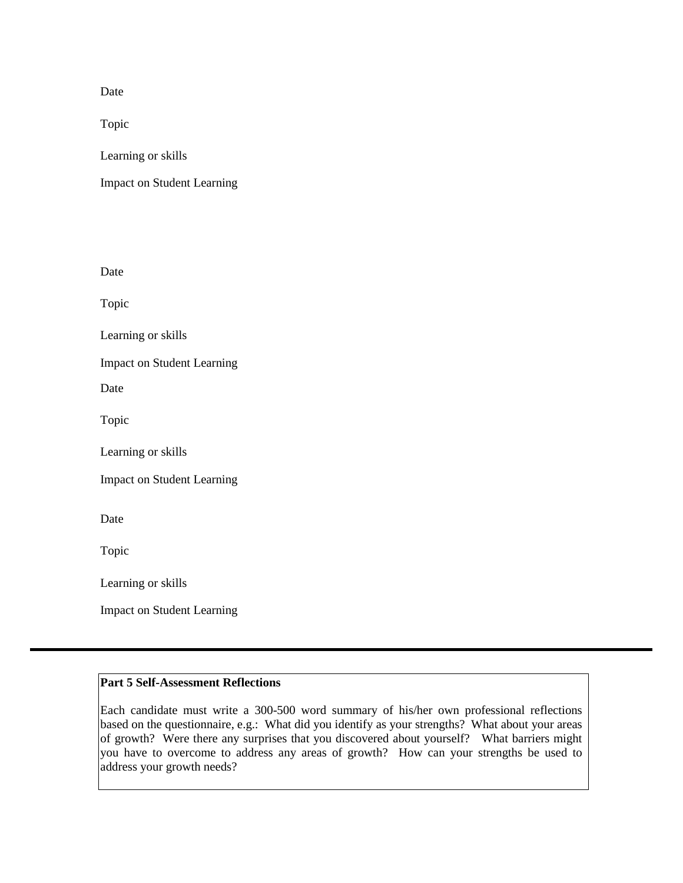Date

Topic

Learning or skills

Impact on Student Learning

Date

Topic

Learning or skills

Impact on Student Learning

Date

Topic

Learning or skills

Impact on Student Learning

Date

Topic

Learning or skills

Impact on Student Learning

#### **Part 5 Self-Assessment Reflections**

Each candidate must write a 300-500 word summary of his/her own professional reflections based on the questionnaire, e.g.: What did you identify as your strengths? What about your areas of growth? Were there any surprises that you discovered about yourself? What barriers might you have to overcome to address any areas of growth? How can your strengths be used to address your growth needs?